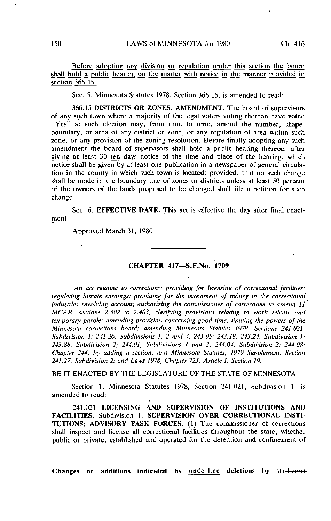Before adopting any division or regulation under this section the board shall hold a public hearing on the matter with notice in the manner provided in section 366.15.

Sec. 5. Minnesota Statutes 1978, Section 366.15, is amended to read:

366.15 DISTRICTS OR ZONES, AMENDMENT. The board of supervisors of any such town where a majority of the legal voters voting thereon have voted "Yes" at such election may, from time to time, amend the number, shape, boundary, or area of any district or zone, or any regulation of area within such zone, or any provision of the zoning resolution. Before finally adopting any such amendment the board of supervisors shall hold a public hearing thereon, after giving at least  $30$  ten days notice of the time and place of the hearing, which notice shall be given by at least one publication in a newspaper of general circulation in the county in which such town is located; provided, that no such change shall be made in the boundary line of zones or districts unless at least 50 percent of the owners of the lands proposed to be changed shall file a petition for such change.

Sec. 6. EFFECTIVE DATE. This act is effective the day after final enactment.

Approved March 31, 1980

## CHAPTER 417—S.F.No. 1709

An act relating to corrections; providing for licensing of correctional facilities; regulating inmate earnings; providing for the investment of money in the correctional industries revolving account; authorizing the commissioner of corrections to amend  $II$ MCAR, sections 2.402 to 2.403; clarifying provisions relating to work release and temporary parole; amending provision concerning good time; limiting the powers of the Minnesota corrections board; amending Minnesota Statutes 1978, Sections 241.021, Subdivision 1; 241.26, Subdivisions I, 2 and 4; 243.05; 243.18; 243.24, Subdivision 1; 243.88, Subdivision 2; 244.01, Subdivisions 1 and 2; 244.04, Subdivision 2; 244.08; Chapter 244, by adding a section; and Minnesota Statutes, 1979 Supplement, Section 241.27, Subdivision 2; and Laws 1978, Chapter 723, Article 1, Section 19.

BE IT ENACTED BY THE LEGISLATURE OF THE STATE OF MINNESOTA:

Section 1. Minnesota Statutes 1978, Section 241.021, Subdivision 1, is amended to read:

241.021 LICENSING AND SUPERVISION OF INSTITUTIONS AND FACILITIES. Subdivision 1. SUPERVISION OVER CORRECTIONAL INSTI-TUTIONS; ADVISORY TASK FORCES. (1) The commissioner of corrections shall inspect and license all correctional facilities throughout the state, whether public or private, established and operated for the detention and confinement of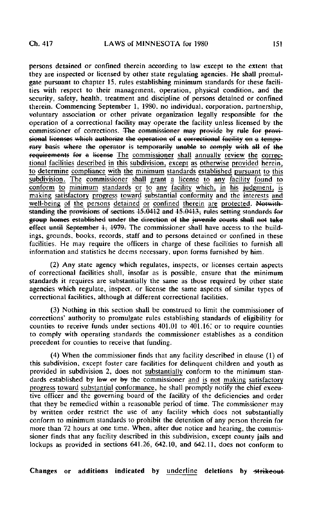persons detained or confined therein according to law except to the extent that they are inspected or licensed by other state regulating agencies. He shall promulgate pursuant to chapter 15, rules establishing minimum standards for these facilities with respect to their management, operation, physical condition, and the security, safety, health, treatment and discipline of persons detained or confined therein. Commencing September 1, 1980, no individual, corporation, partnership, voluntary association or other private organization legally responsible for the operation of a correctional facility may operate the facility unless licensed by the commissioner of corrections. The commissioner may provide by rule for provisional licenses which authorize the operation of a correctional facility on a temporary basis where the operator is temporarily unable to comply with all of the requirements for a license The commissioner shall annually review the correctional facilities described in this subdivision, except as otherwise provided herein, to determine compliance with the minimum standards established pursuant to this subdivision. The commissioner shall grant a license to any facility found to conform to minimum standards or to any facility which, in his judgment, is making satisfactory progress toward substantial conformity and the interests and well-being of the persons detained or confined therein are protected. Notwithstanding the provisions of sections  $15.0412$  and  $15.0413$ , rules setting standards for group homes established under the direction of the juvenile courts shall not take effect until September  $\frac{1}{2}$ ,  $\frac{1979}{2}$ . The commissioner shall have access to the buildings, grounds, books, records, staff and to persons detained or confined in these facilities, He may require the officers in charge of these facilities to furnish all information and statistics he deems necessary, upon forms furnished by him.

(2) Any state agency which regulates, inspects, or licenses certain aspects of correctional facilities shall, insofar as is possible, ensure that the minimum standards it requires are substantially the same as those required by other state agencies which regulate, inspect, or license the same aspects of similar types of correctional facilities, although at different correctional facilities.

(3) Nothing in this section shall be construed to limit the commissioner of corrections' authority to promulgate rules establishing standards of eligibility for counties to receive funds under sections 401.01 to 401.16; or to require counties to comply with operating standards the commissioner establishes as a condition precedent for counties to receive that funding.

(4) When the commissioner finds that any facility described in clause (1) of this subdivision, except foster care facilities for delinquent children and youth as provided in subdivision 2, does not substantially conform to the minimum standards established by law  $er$  by the commissioner and is not making satisfactory progress toward substantial conformance, he shall promptly notify the chief executive officer and the governing board of the facility of the deficiencies and order that they be remedied within a reasonable period of time. The commissioner may by written order restrict the use of any facility which does not substantially conform to minimum standards to prohibit the detention of any person therein for more than 72 hours at one time. When, after due notice and hearing, the commissioner finds that any facility described in this subdivision, except county jails and lockups as provided in sections 641.26, 642.10, and 642.11, does not conform to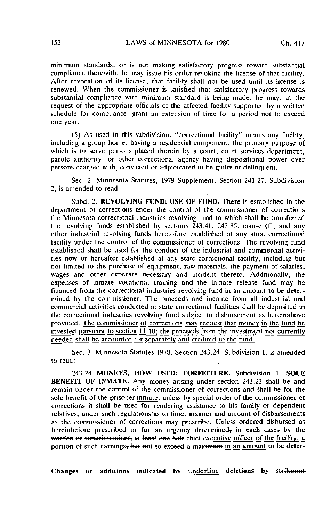minimum standards, or is not making satisfactory progress toward substantial compliance therewith, he may issue his order revoking the license of that facility. After revocation of its license, that facility shall not be used until its license is renewed. When the commissioner is satisfied that satisfactory progress towards substantial compliance with minimum standard is being made, he may, at the request of the appropriate officials of the affected facility supported by a written schedule for compliance, grant an extension of time for a period not to exceed one year.

(5) As used in this subdivision, "correctional facility" means any facility, including a group home, having a residential component, the primary purpose of which is to serve persons placed therein by a court, court services department, parole authority, or other correctional agency having dispositional power over persons charged with, convicted or adjudicated to be guilty or delinquent.

Sec. 2. Minnesota Statutes, 1979 Supplement, Section 241.27, Subdivision 2, is amended to read:

Subd. 2. REVOLVING FUND; USE OF FUND. There is established in the department of corrections under the control of the commissioner of corrections the Minnesota correctional industries revolving fund to which shall be transferred the revolving funds established by sections  $243.41$ ,  $243.85$ , clause (f), and any other industrial revolving funds heretofore established at any state correctional facility under the control of the commissioner of corrections. The revolving fund established shall be used for the conduct of the industrial and commercial activities now or hereafter established at any state correctional facility, including but not limited to the purchase of equipment, raw materials, the payment of salaries, wages and other expenses necessary and incident thereto. Additionally, the expenses of inmate vocational training and the inmate release fund may be financed from the correctional industries revolving fund in an amount to be determined by the commissioner. The proceeds and income from all industrial and commercial activities conducted at state correctional facilities shall be deposited in the correctional industries revolving fund subject to disbursement as hereinabove provided. The commissioner of corrections may request that money in the fund be invested pursuant to section 11.10; the proceeds from the investment not currently needed shall be accounted for separately and credited to the fund.

Sec. 3. Minnesota Statutes 1978, Section 243.24, Subdivision 1, is amended to read:

243.24 MONEYS, HOW USED; FORFEITURE. Subdivision 1. SOLE BENEFIT OF INMATE. Any money arising under section 243.23 shall be and remain under the control of the commissioner of corrections and shall be for the sole benefit of the prisoner inmate, unless by special order of the commissioner of corrections it shall be used for rendering assistance to his family or dependent relatives, under such regulations'as to time, manner and amount of disbursements as the commissioner of corrections may prescribe. Unless ordered disbursed as hereinbefore prescribed or for an urgency determined, in each case, by the warden or superintendent, at least one half chief executive officer of the facility, a portion of such earnings, but not to exceed a maximum in an amount to be deter-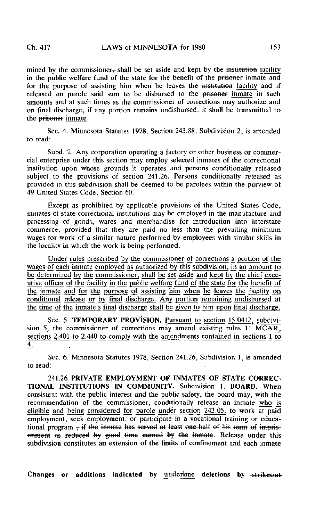mined by the commissioner $\frac{1}{2}$  shall be set aside and kept by the institution facility in the public welfare fund of the state for the benefit of the prisoner inmate and for the purpose of assisting him when he leaves the institution facility and if released on parole said sum to be disbursed to the prisoner inmate in such amounts and at such times as the commissioner of corrections may authorize and on final discharge, if any portion remains undisbursed, it shall be transmitted to the prisoner inmate.

Sec. 4. Minnesota Statutes 1978, Section 243.88, Subdivision 2, is amended to read:

Subd. 2. Any corporation operating a factory or other business or commercial enterprise under this section may employ selected inmates of the correctional institution upon whose grounds it operates and persons conditionally released subject to the provisions of section 241.26. Persons conditionally released as provided in this subdivision shall be deemed to be parolees within the purview of 49 United States Code, Section 60.

Except as prohibited by applicable provisions of the United States Code, inmates of state correctional institutions may be employed in the manufacture and processing of goods, wares and merchandise for introduction into interstate commerce, provided that they are paid no less than the prevailing minimum wages for work of a similar nature performed by employees with similar skills in the locality in which the work is being performed.

Under rules prescribed by the commissioner of corrections a portion of the wages of each inmate employed as authorized by this subdivision, in an amount to be determined by the commissioner, shall be set aside and kept by the chief executive officer of the facility in the public welfare fund of the state for the benefit of the inmate and for the purpose of assisting him when he leaves the facility on conditional release or by final discharge. Any portion remaining undisbursed at the time of the inmate's final discharge shall be given to him upon final discharge.

Sec. 5. TEMPORARY PROVISION. Pursuant to section 15.0412, subdivision 5, the commissioner of corrections may amend existing rules  $11$  MCAR<sub>T</sub>, sections  $2.401$  to  $2.440$  to comply with the amendments contained in sections 1 to 4,

Sec. 6. Minnesota Statutes 1978, Section 241.26, Subdivision 1, is amended to read:

241.26 PRIVATE EMPLOYMENT OF INMATES OF STATE CORREC-TIONAL INSTITUTIONS IN COMMUNITY. Subdivision 1. BOARD. When consistent with the public interest and the public safety, the board may, with the recommendation of the commissioner, conditionally release an inmate who is eligible and being considered for parole under section 243.05, to work at paid employment, seek employment, or participate in a vocational training or educational program  $-$  if the inmate has served at least one-half of his term of imprisenment as reduced by good time earned by the inmate. Release under this subdivision constitutes an extension of the limits of confinement and each inmate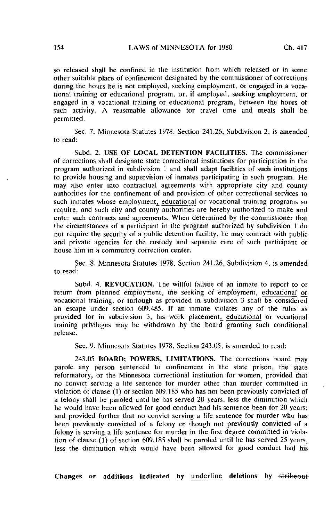so released shall be confined in the institution from which released or in some other suitable place of confinement designated by the commissioner of corrections during the hours he is not employed, seeking employment, or engaged in a vocational training or educational program, or. if employed, seeking employment, or engaged in a vocational training or educational program, between the hours of such activity. A reasonable allowance for travel time and meals shall be permitted.

Sec. 7. Minnesota Statutes 1978, Section 241.26, Subdivision 2, is amended to read:

Subd. 2. USE OF LOCAL DETENTION FACILITIES. The commissioner of corrections shall designate state correctional institutions for participation in the program authorized in subdivision 1 and shall adapt facilities of such institutions to provide housing and supervision of inmates participating in such program. He may also enter into contractual agreements with appropriate city and county authorities for the confinement of and provision of other correctional services to such inmates whose employment, educational or vocational training programs so require, and such city and county authorities are hereby authorized to make and enter such contracts and agreements. When determined by the commissioner that the circumstances of a participant in the program authorized by subdivision 1 do not require the security of a public detention facility, he may contract with public and private agencies for the custody and separate care of such participant or house him in a community correction center.

Sec. 8. Minnesota Statutes 1978, Section 241.26, Subdivision 4, is amended to read:

Subd. 4. REVOCATION. The willful failure of an inmate to report to or return from planned employment, the seeking of employment, educational or vocational training, or furlough as provided in subdivision 3 shall be considered an escape under section 609.485. If an inmate violates any of the rules as provided for in subdivision 3, his work placement, educational or vocational training privileges may be withdrawn by the board granting such conditional release.

Sec. 9. Minnesota Statutes 1978, Section 243.05, is amended to read:

243.05 BOARD; POWERS, LIMITATIONS. The corrections board may parole any person sentenced to confinement in the state prison, the' state reformatory, or the Minnesota correctional institution for women, provided that no convict serving a life sentence for murder other than murder committed in violation of clause (1) of section 609.185 who has not been previously convicted of a felony shall be paroled until he has served 20 years, less the diminution which he would have been allowed for good conduct had his sentence been for 20 years; and provided further that no convict serving a life sentence for murder who has been previously convicted of a felony or though not previously convicted of a felony is serving a life sentence for murder in the first degree committed in violation of clause (1) of section 609.185 shall be paroled until he has served 25 years, less the diminution which would have been allowed for good conduct had his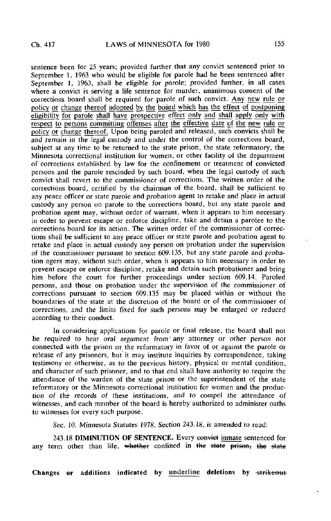sentence been for 25 years; provided further that any convict sentenced prior to September 1, 1963 who would be eligible for parole had he been sentenced after September 1, 1963, shall be eligible for parole; provided further, in all cases where a convict is serving a life sentence for murder, unanimous consent of the corrections board shall be required for parole of such convict. Any new rule or policy or change thereof adopted by the board which has the effect of postponing eligibility for parole shall have prospective effect only and shall apply only with respect to persons committing offenses after the effective date of the new rule or policy or change thereof. Upon being paroled and released, such convicts shall be and remain in the legal custody and under the control of the corrections board, subject at any time to be returned to the state prison, the state reformatory, the Minnesota correctional institution for women, or other facility of the department of corrections established by law for the confinement or treatment of convicted persons and the parole rescinded by such board, when the legal custody of such convict shall revert to the commissioner of corrections. The written order of the corrections board, certified by the chairman of the board, shall be sufficient to any peace officer or state parole and probation agent to retake and place in actual custody any person on parole to the corrections board, but any state parole and probation agent may, without order of warrant, when it appears to him necessary in order to prevent escape or enforce discipline, take and detain a parolee to the corrections board for its action. The written order of the commissioner of corrections shall be sufficient to any peace officer or state parole and probation agent to retake and place in actual custody any person on probation under the supervision of the commissioner pursuant to section 609.135, but any state parole and probation agent may, without such order, when it appears to him necessary in order to prevent escape or enforce discipline, retake and detain such probationer and bring him before the court for further proceedings under section 609.14. Paroled persons, and those on probation under the supervision of the commissioner of corrections pursuant to section 609.135 may be placed within or without the boundaries of the state at the discretion of the board or of the commissioner of corrections, and the limits fixed for such persons may be enlarged or reduced according to their conduct.

In considering applications for parole or final release, the board shall not be required to hear oral argument from' any attorney or other person not connected with the prison or the reformatory in favor of or against the parole or release of any prisoners, but it may institute inquiries by correspondence, taking testimony or otherwise, as to the previous history, physical or mental condition, and character of such prisoner, and to that end shall have authority to require the attendance of the warden of the state prison or the superintendent of the state reformatory or the Minnesota correctional institution for women and the production of the records of these institutions, and to compel the attendance of witnesses, and each member of the board is hereby authorized to administer oaths to witnesses for every such purpose.

Sec. 10. Minnesota Statutes 1978, Section 243.18, is amended to read:

243.18 DIMINUTION OF SENTENCE. Every convict inmate sentenced for any term other than life, whether confined in the state prison, the state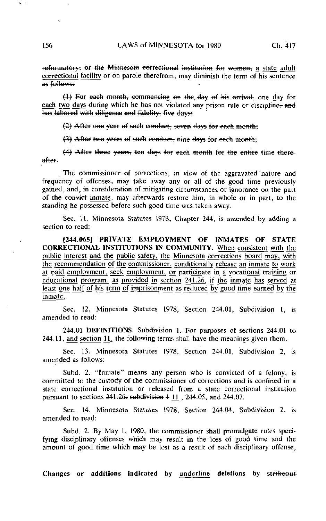reformatory: or the Minnesota correctional institution for women, a state adult correctional facility or on parole therefrom, may diminish the term of his sentence<br>as follows:

 $(1)$  For each month, commencing on the day of his arrival, one day for each two days during which he has not violated any prison rule or discipline, and has labored with diligence and fidelity, five days;

 $(2)$  After one year of such conduct, seven days for each month;

(3) After two years of such conduct, nine days for each month;

 $(4)$  After three years, ten days for each month for the entire time thereafter.

The commissioner of corrections, in view of the aggravated 'nature and frequency of offenses, may take away any or all of the good time previously gained, and, in consideration of mitigating circumstances or ignorance on the part of the convict inmate, may afterwards restore him, in whole or in part, to the standing he possessed before such good time was taken away.

Sec. 11. Minnesota Statutes 1978, Chapter 244, is amended by adding a section to read:

[244.065] PRIVATE EMPLOYMENT OF INMATES OF STATE CORRECTIONAL INSTITUTIONS IN COMMUNITY. When consistent with the public interest and the public safety, the Minnesota corrections board may, with the recommendation of the commissioner, conditionally release an inmate to work at paid employment, seek employment, or participate in a vocational training or educational program, as provided in section  $\overline{241.26}$ , if the inmate has served at least one half of his term of imprisonment as reduced by good time earned by the inmate.

Sec. 12. Minnesota Statutes 1978, Section 244.01, Subdivision I, is amended to read:

244.01 DEFINITIONS. Subdivision 1. For purposes of sections 244.01 to  $244.11$ , and section 11, the following terms shall have the meanings given them.

Sec. 13. Minnesota Statutes 1978, Section 244.01, Subdivision 2, is amended as follows:

Subd. 2. "Inmate" means any person who is convicted of a felony, is committed to the custody of the commissioner of corrections and is confined in a state correctional institution or released from a state correctional institution pursuant to sections  $241.26$ , subdivision  $4\ 11$ , 244.05, and 244.07.

Sec. 14. Minnesota Statutes 1978, Section 244.04, Subdivision 2, is amended to read:

Subd. 2. By May 1, 1980, the commissioner shall promulgate rules specifying disciplinary offenses which may result in the loss of good time and the amount of good time which may be lost as a result of each disciplinary offense,

Changes or additions indicated by underline deletions by strikeout

 $\overline{u}$  .